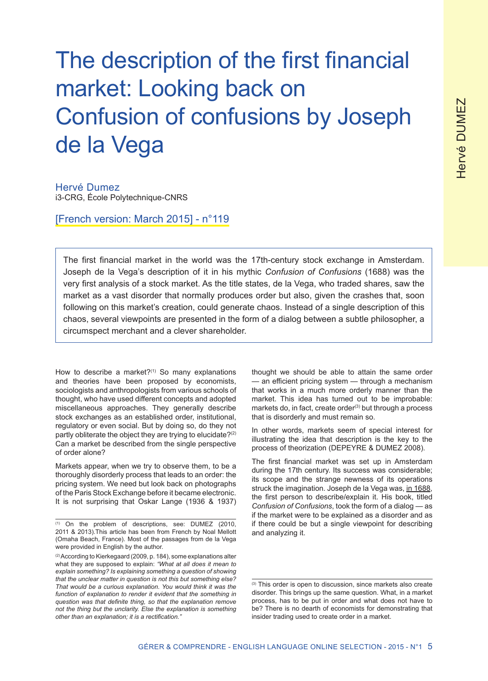# The description of the first financial market: Looking back on Confusion of confusions by Joseph de la Vega

Hervé Dumez i3-CRG, École Polytechnique-CNRS

[French version: March 2015] - n°119

The first financial market in the world was the 17th-century stock exchange in Amsterdam. Joseph de la Vega's description of it in his mythic *Confusion of Confusions* (1688) was the very first analysis of a stock market. As the title states, de la Vega, who traded shares, saw the market as a vast disorder that normally produces order but also, given the crashes that, soon following on this market's creation, could generate chaos. Instead of a single description of this chaos, several viewpoints are presented in the form of a dialog between a subtle philosopher, a circumspect merchant and a clever shareholder.

How to describe a market? $(1)$  So many explanations and theories have been proposed by economists, sociologists and anthropologists from various schools of thought, who have used different concepts and adopted miscellaneous approaches. They generally describe stock exchanges as an established order, institutional, regulatory or even social. But by doing so, do they not partly obliterate the object they are trying to elucidate?<sup>(2)</sup> Can a market be described from the single perspective of order alone?

Markets appear, when we try to observe them, to be a thoroughly disorderly process that leads to an order: the pricing system. We need but look back on photographs of the Paris Stock Exchange before it became electronic. It is not surprising that Oskar Lange (1936 & 1937)

thought we should be able to attain the same order — an efficient pricing system — through a mechanism that works in a much more orderly manner than the market. This idea has turned out to be improbable: markets do, in fact, create order<sup>(3)</sup> but through a process that is disorderly and must remain so.

In other words, markets seem of special interest for illustrating the idea that description is the key to the process of theorization (DEPEYRE & DUMEZ 2008).

The first financial market was set up in Amsterdam during the 17th century. Its success was considerable; its scope and the strange newness of its operations struck the imagination. Joseph de la Vega was, in 1688, the first person to describe/explain it. His book, titled *Confusion of Confusions*, took the form of a dialog — as if the market were to be explained as a disorder and as if there could be but a single viewpoint for describing and analyzing it.

<sup>(1)</sup> On the problem of descriptions, see: DUMEZ (2010, 2011 & 2013).This article has been from French by Noal Mellott (Omaha Beach, France). Most of the passages from de la Vega were provided in English by the author.

<sup>(2)</sup> According to Kierkegaard (2009, p. 184), some explanations alter what they are supposed to explain: *"What at all does it mean to explain something? Is explaining something a question of showing that the unclear matter in question is not this but something else? That would be a curious explanation. You would think it was the function of explanation to render it evident that the something in question was that definite thing, so that the explanation remove not the thing but the unclarity. Else the explanation is something other than an explanation; it is a rectification."*

<sup>(3)</sup> This order is open to discussion, since markets also create disorder. This brings up the same question. What, in a market process, has to be put in order and what does not have to be? There is no dearth of economists for demonstrating that insider trading used to create order in a market.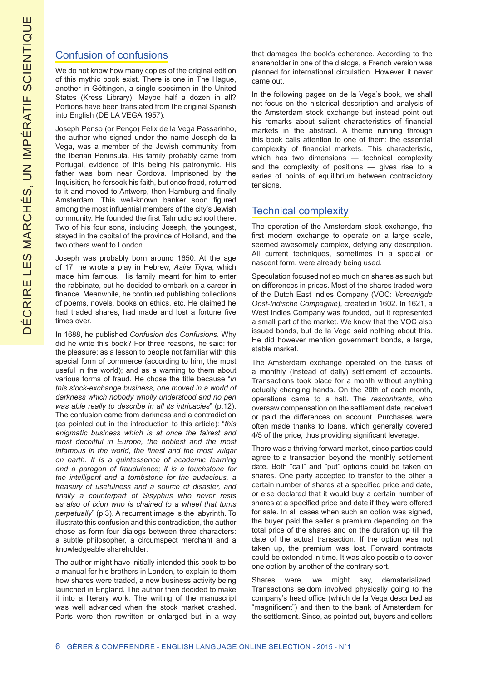#### Confusion of confusions

We do not know how many copies of the original edition of this mythic book exist. There is one in The Hague, another in Göttingen, a single specimen in the United States (Kress Library). Maybe half a dozen in all? Portions have been translated from the original Spanish into English (DE LA VEGA 1957).

Joseph Penso (or Penço) Felix de la Vega Passarinho, the author who signed under the name Joseph de la Vega, was a member of the Jewish community from the Iberian Peninsula. His family probably came from Portugal, evidence of this being his patronymic. His father was born near Cordova. Imprisoned by the Inquisition, he forsook his faith, but once freed, returned to it and moved to Antwerp, then Hamburg and finally Amsterdam. This well-known banker soon figured among the most influential members of the city's Jewish community. He founded the first Talmudic school there. Two of his four sons, including Joseph, the youngest, stayed in the capital of the province of Holland, and the two others went to London.

Joseph was probably born around 1650. At the age of 17, he wrote a play in Hebrew, *Asira Tiqva*, which made him famous. His family meant for him to enter the rabbinate, but he decided to embark on a career in finance. Meanwhile, he continued publishing collections of poems, novels, books on ethics, etc. He claimed he had traded shares, had made and lost a fortune five times over.

In 1688, he published *Confusion des Confusions*. Why did he write this book? For three reasons, he said: for the pleasure; as a lesson to people not familiar with this special form of commerce (according to him, the most useful in the world); and as a warning to them about various forms of fraud. He chose the title because "*in this stock-exchange business, one moved in a world of darkness which nobody wholly understood and no pen was able really to describe in all its intricacies*" (p.12). The confusion came from darkness and a contradiction (as pointed out in the introduction to this article): "*this enigmatic business which is at once the fairest and most deceitful in Europe, the noblest and the most infamous in the world, the finest and the most vulgar on earth. It is a quintessence of academic learning and a paragon of fraudulence; it is a touchstone for the intelligent and a tombstone for the audacious, a treasury of usefulness and a source of disaster, and finally a counterpart of Sisyphus who never rests as also of Ixion who is chained to a wheel that turns perpetually*" (p.3). A recurrent image is the labyrinth. To illustrate this confusion and this contradiction, the author chose as form four dialogs between three characters: a subtle philosopher, a circumspect merchant and a knowledgeable shareholder.

The author might have initially intended this book to be a manual for his brothers in London, to explain to them how shares were traded, a new business activity being launched in England. The author then decided to make it into a literary work. The writing of the manuscript was well advanced when the stock market crashed. Parts were then rewritten or enlarged but in a way that damages the book's coherence. According to the shareholder in one of the dialogs, a French version was planned for international circulation. However it never came out.

In the following pages on de la Vega's book, we shall not focus on the historical description and analysis of the Amsterdam stock exchange but instead point out his remarks about salient characteristics of financial markets in the abstract. A theme running through this book calls attention to one of them: the essential complexity of financial markets. This characteristic, which has two dimensions — technical complexity and the complexity of positions — gives rise to a series of points of equilibrium between contradictory tensions.

## Technical complexity

The operation of the Amsterdam stock exchange, the first modern exchange to operate on a large scale, seemed awesomely complex, defying any description. All current techniques, sometimes in a special or nascent form, were already being used.

Speculation focused not so much on shares as such but on differences in prices. Most of the shares traded were of the Dutch East Indies Company (VOC: *Vereenigde Oost-Indische Compagnie*), created in 1602. In 1621, a West Indies Company was founded, but it represented a small part of the market. We know that the VOC also issued bonds, but de la Vega said nothing about this. He did however mention government bonds, a large, stable market.

The Amsterdam exchange operated on the basis of a monthly (instead of daily) settlement of accounts. Transactions took place for a month without anything actually changing hands. On the 20th of each month, operations came to a halt. The *rescontrants*, who oversaw compensation on the settlement date, received or paid the differences on account. Purchases were often made thanks to loans, which generally covered 4/5 of the price, thus providing significant leverage.

There was a thriving forward market, since parties could agree to a transaction beyond the monthly settlement date. Both "call" and "put" options could be taken on shares. One party accepted to transfer to the other a certain number of shares at a specified price and date, or else declared that it would buy a certain number of shares at a specified price and date if they were offered for sale. In all cases when such an option was signed, the buyer paid the seller a premium depending on the total price of the shares and on the duration up till the date of the actual transaction. If the option was not taken up, the premium was lost. Forward contracts could be extended in time. It was also possible to cover one option by another of the contrary sort.

Shares were, we might say, dematerialized. Transactions seldom involved physically going to the company's head office (which de la Vega described as "magnificent") and then to the bank of Amsterdam for the settlement. Since, as pointed out, buyers and sellers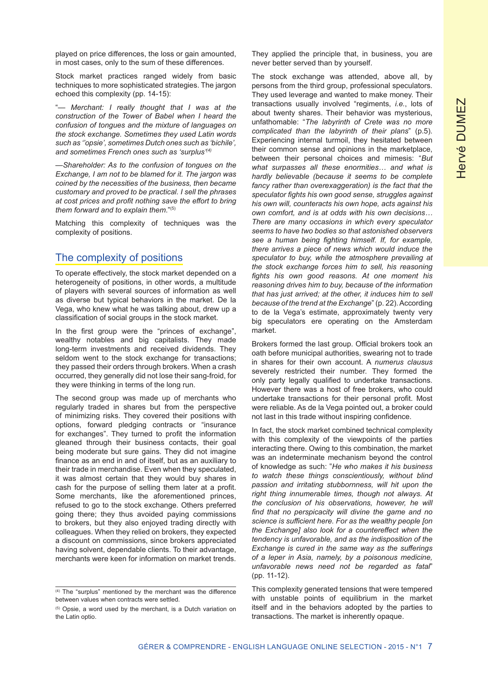played on price differences, the loss or gain amounted, in most cases, only to the sum of these differences.

Stock market practices ranged widely from basic techniques to more sophisticated strategies. The jargon echoed this complexity (pp. 14-15):

"— *Merchant: I really thought that I was at the construction of the Tower of Babel when I heard the confusion of tongues and the mixture of languages on the stock exchange. Sometimes they used Latin words such as ''opsie', sometimes Dutch ones such as 'bichile', and sometimes French ones such as 'surplus'(4)*

—*Shareholder: As to the confusion of tongues on the Exchange, I am not to be blamed for it. The jargon was coined by the necessities of the business, then became customary and proved to be practical. I sell the phrases at cost prices and profit nothing save the effort to bring them forward and to explain them*."(5)

Matching this complexity of techniques was the complexity of positions.

## The complexity of positions

To operate effectively, the stock market depended on a heterogeneity of positions, in other words, a multitude of players with several sources of information as well as diverse but typical behaviors in the market. De la Vega, who knew what he was talking about, drew up a classification of social groups in the stock market.

In the first group were the "princes of exchange", wealthy notables and big capitalists. They made long-term investments and received dividends. They seldom went to the stock exchange for transactions; they passed their orders through brokers. When a crash occurred, they generally did not lose their sang-froid, for they were thinking in terms of the long run.

The second group was made up of merchants who regularly traded in shares but from the perspective of minimizing risks. They covered their positions with options, forward pledging contracts or "insurance for exchanges". They turned to profit the information gleaned through their business contacts, their goal being moderate but sure gains. They did not imagine finance as an end in and of itself, but as an auxiliary to their trade in merchandise. Even when they speculated, it was almost certain that they would buy shares in cash for the purpose of selling them later at a profit. Some merchants, like the aforementioned princes, refused to go to the stock exchange. Others preferred going there; they thus avoided paying commissions to brokers, but they also enjoyed trading directly with colleagues. When they relied on brokers, they expected a discount on commissions, since brokers appreciated having solvent, dependable clients. To their advantage, merchants were keen for information on market trends.

They applied the principle that, in business, you are never better served than by yourself.

The stock exchange was attended, above all, by persons from the third group, professional speculators. They used leverage and wanted to make money. Their transactions usually involved "regiments, *i.e.*, lots of about twenty shares. Their behavior was mysterious, unfathomable: "*The labyrinth of Crete was no more complicated than the labyrinth of their plans*" (p.5). Experiencing internal turmoil, they hesitated between their common sense and opinions in the marketplace, between their personal choices and mimesis: "*But what surpasses all these enormities… and what is hardly believable (because it seems to be complete fancy rather than overexaggeration) is the fact that the speculator fights his own good sense, struggles against his own will, counteracts his own hope, acts against his own comfort, and is at odds with his own decisions… There are many occasions in which every speculator seems to have two bodies so that astonished observers see a human being fighting himself. If, for example, there arrives a piece of news which would induce the speculator to buy, while the atmosphere prevailing at the stock exchange forces him to sell, his reasoning fights his own good reasons. At one moment his reasoning drives him to buy, because of the information that has just arrived; at the other, it induces him to sell because of the trend at the Exchange*" (p. 22). According to de la Vega's estimate, approximately twenty very big speculators ere operating on the Amsterdam market.

Brokers formed the last group. Official brokers took an oath before municipal authorities, swearing not to trade in shares for their own account. A *numerus clausus* severely restricted their number. They formed the only party legally qualified to undertake transactions. However there was a host of free brokers, who could undertake transactions for their personal profit. Most were reliable. As de la Vega pointed out, a broker could not last in this trade without inspiring confidence.

In fact, the stock market combined technical complexity with this complexity of the viewpoints of the parties interacting there. Owing to this combination, the market was an indeterminate mechanism beyond the control of knowledge as such: "*He who makes it his business to watch these things conscientiously, without blind passion and irritating stubbornness, will hit upon the right thing innumerable times, though not always. At the conclusion of his observations, however, he will find that no perspicacity will divine the game and no science is sufficient here. For as the wealthy people [on the Exchange] also look for a countereffect when the tendency is unfavorable, and as the indisposition of the Exchange is cured in the same way as the sufferings of a leper in Asia, namely, by a poisonous medicine, unfavorable news need not be regarded as fatal*" (pp. 11-12).

This complexity generated tensions that were tempered with unstable points of equilibrium in the market itself and in the behaviors adopted by the parties to transactions. The market is inherently opaque.

<sup>(4)</sup> The "surplus" mentioned by the merchant was the difference between values when contracts were settled.

<sup>(5)</sup> Opsie, a word used by the merchant, is a Dutch variation on the Latin optio.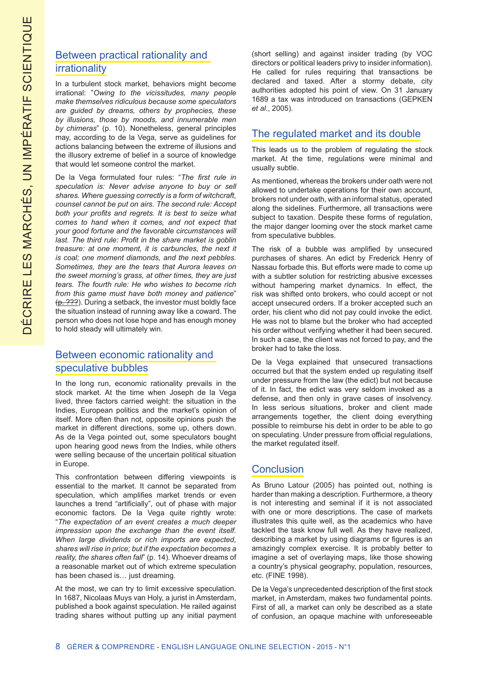# Between practical rationality and irrationality

In a turbulent stock market, behaviors might become irrational: "*Owing to the vicissitudes, many people make themselves ridiculous because some speculators are guided by dreams, others by prophecies, these by illusions, those by moods, and innumerable men by chimeras*" (p. 10). Nonetheless, general principles may, according to de la Vega, serve as guidelines for actions balancing between the extreme of illusions and the illusory extreme of belief in a source of knowledge that would let someone control the market.

De la Vega formulated four rules: "*The first rule in speculation is: Never advise anyone to buy or sell shares. Where guessing correctly is a form of witchcraft, counsel cannot be put on airs. The second rule: Accept both your profits and regrets. It is best to seize what comes to hand when it comes, and not expect that your good fortune and the favorable circumstances will last. The third rule: Profit in the share market is goblin treasure: at one moment, it is carbuncles, the next it is coal; one moment diamonds, and the next pebbles. Sometimes, they are the tears that Aurora leaves on the sweet morning's grass, at other times, they are just tears. The fourth rule: He who wishes to become rich from this game must have both money and patience*"  $(p. ???)$ . During a setback, the investor must boldly face the situation instead of running away like a coward. The person who does not lose hope and has enough money to hold steady will ultimately win.

## Between economic rationality and speculative bubbles

In the long run, economic rationality prevails in the stock market. At the time when Joseph de la Vega lived, three factors carried weight: the situation in the Indies, European politics and the market's opinion of itself. More often than not, opposite opinions push the market in different directions, some up, others down. As de la Vega pointed out, some speculators bought upon hearing good news from the Indies, while others were selling because of the uncertain political situation in Europe.

This confrontation between differing viewpoints is essential to the market. It cannot be separated from speculation, which amplifies market trends or even launches a trend "artificially", out of phase with major economic factors. De la Vega quite rightly wrote: "*The expectation of an event creates a much deeper impression upon the exchange than the event itself. When large dividends or rich imports are expected, shares will rise in price; but if the expectation becomes a reality, the shares often fall*" (p. 14). Whoever dreams of a reasonable market out of which extreme speculation has been chased is… just dreaming.

At the most, we can try to limit excessive speculation. In 1687, Nicolaas Muys van Holy, a jurist in Amsterdam, published a book against speculation. He railed against trading shares without putting up any initial payment

(short selling) and against insider trading (by VOC directors or political leaders privy to insider information). He called for rules requiring that transactions be declared and taxed. After a stormy debate, city authorities adopted his point of view. On 31 January 1689 a tax was introduced on transactions (GEPKEN *et al.*, 2005).

## The regulated market and its double

This leads us to the problem of regulating the stock market. At the time, regulations were minimal and usually subtle.

As mentioned, whereas the brokers under oath were not allowed to undertake operations for their own account, brokers not under oath, with an informal status, operated along the sidelines. Furthermore, all transactions were subject to taxation. Despite these forms of regulation, the major danger looming over the stock market came from speculative bubbles.

The risk of a bubble was amplified by unsecured purchases of shares. An edict by Frederick Henry of Nassau forbade this. But efforts were made to come up with a subtler solution for restricting abusive excesses without hampering market dynamics. In effect, the risk was shifted onto brokers, who could accept or not accept unsecured orders. If a broker accepted such an order, his client who did not pay could invoke the edict. He was not to blame but the broker who had accepted his order without verifying whether it had been secured. In such a case, the client was not forced to pay, and the broker had to take the loss.

De la Vega explained that unsecured transactions occurred but that the system ended up regulating itself under pressure from the law (the edict) but not because of it. In fact, the edict was very seldom invoked as a defense, and then only in grave cases of insolvency. In less serious situations, broker and client made arrangements together, the client doing everything possible to reimburse his debt in order to be able to go on speculating. Under pressure from official regulations, the market regulated itself.

## **Conclusion**

As Bruno Latour (2005) has pointed out, nothing is harder than making a description. Furthermore, a theory is not interesting and seminal if it is not associated with one or more descriptions. The case of markets illustrates this quite well, as the academics who have tackled the task know full well. As they have realized, describing a market by using diagrams or figures is an amazingly complex exercise. It is probably better to imagine a set of overlaying maps, like those showing a country's physical geography, population, resources, etc. (FINE 1998).

De la Vega's unprecedented description of the first stock market, in Amsterdam, makes two fundamental points. First of all, a market can only be described as a state of confusion, an opaque machine with unforeseeable